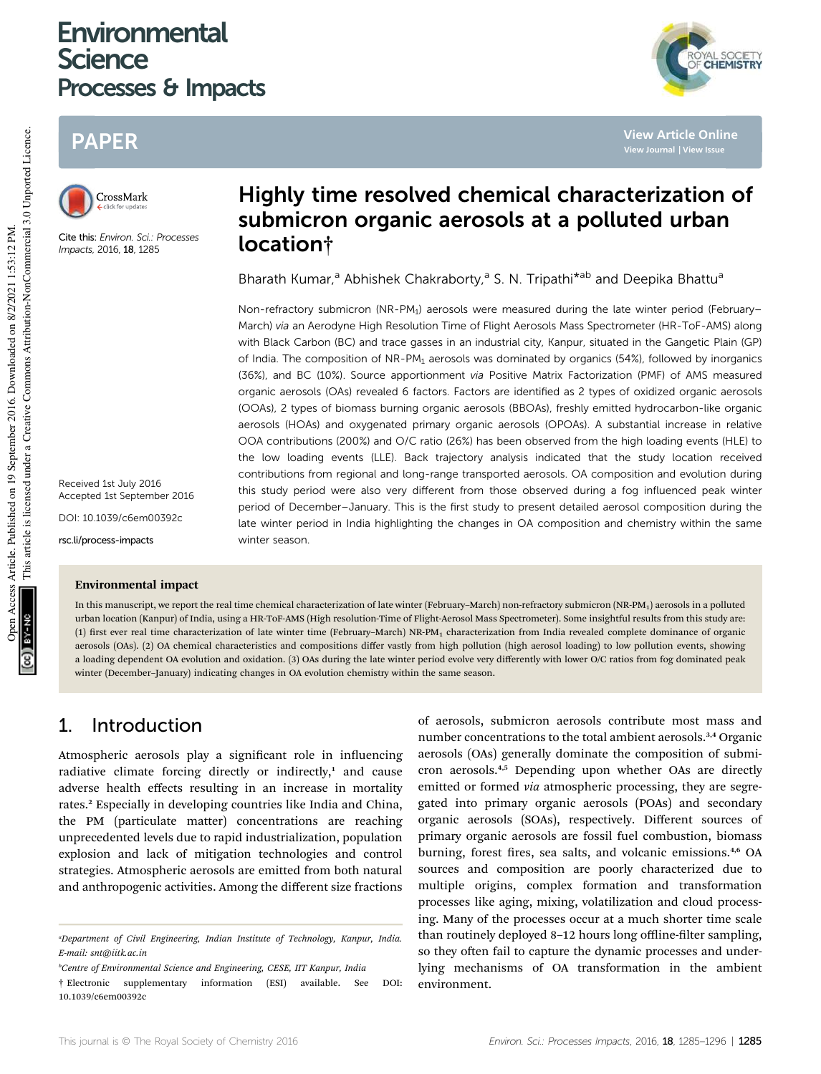# **Environmental Science** Processes & Impacts

# PAPER



Cite this: *Environ. Sci.: Processes Impacts*, 2016, 18, 1285

Highly time resolved chemical characterization of submicron organic aerosols at a polluted urban location†

**View Article Online**

YAL SOCIETY<br>**CHEMISTRY** 

Bharath Kumar,<sup>a</sup> Abhishek Chakraborty,<sup>a</sup> S. N. Tripathi<sup>\*ab</sup> and Deepika Bhattu<sup>a</sup>

Non-refractory submicron (NR-PM<sub>1</sub>) aerosols were measured during the late winter period (February-March) *via* an Aerodyne High Resolution Time of Flight Aerosols Mass Spectrometer (HR-ToF-AMS) along with Black Carbon (BC) and trace gasses in an industrial city, Kanpur, situated in the Gangetic Plain (GP) of India. The composition of NR-PM<sub>1</sub> aerosols was dominated by organics (54%), followed by inorganics (36%), and BC (10%). Source apportionment *via* Positive Matrix Factorization (PMF) of AMS measured organic aerosols (OAs) revealed 6 factors. Factors are identified as 2 types of oxidized organic aerosols (OOAs), 2 types of biomass burning organic aerosols (BBOAs), freshly emitted hydrocarbon-like organic aerosols (HOAs) and oxygenated primary organic aerosols (OPOAs). A substantial increase in relative OOA contributions (200%) and O/C ratio (26%) has been observed from the high loading events (HLE) to the low loading events (LLE). Back trajectory analysis indicated that the study location received contributions from regional and long-range transported aerosols. OA composition and evolution during this study period were also very different from those observed during a fog influenced peak winter period of December–January. This is the first study to present detailed aerosol composition during the late winter period in India highlighting the changes in OA composition and chemistry within the same winter season.

Received 1st July 2016 Accepted 1st September 2016 DOI: 10.1039/c6em00392c

rsc.li/process-impacts

#### Environmental impact

In this manuscript, we report the real time chemical characterization of late winter (February–March) non-refractory submicron (NR-PM1) aerosols in a polluted urban location (Kanpur) of India, using a HR-ToF-AMS (High resolution-Time of Flight-Aerosol Mass Spectrometer). Some insightful results from this study are: (1) first ever real time characterization of late winter time (February–March) NR-PM<sub>1</sub> characterization from India revealed complete dominance of organic aerosols (OAs). (2) OA chemical characteristics and compositions differ vastly from high pollution (high aerosol loading) to low pollution events, showing a loading dependent OA evolution and oxidation. (3) OAs during the late winter period evolve very differently with lower O/C ratios from fog dominated peak winter (December–January) indicating changes in OA evolution chemistry within the same season.

## 1. Introduction

Atmospheric aerosols play a significant role in influencing radiative climate forcing directly or indirectly,<sup>1</sup> and cause adverse health effects resulting in an increase in mortality rates.<sup>2</sup> Especially in developing countries like India and China, the PM (particulate matter) concentrations are reaching unprecedented levels due to rapid industrialization, population explosion and lack of mitigation technologies and control strategies. Atmospheric aerosols are emitted from both natural and anthropogenic activities. Among the different size fractions

of aerosols, submicron aerosols contribute most mass and number concentrations to the total ambient aerosols.<sup>3,4</sup> Organic aerosols (OAs) generally dominate the composition of submicron aerosols.4,5 Depending upon whether OAs are directly emitted or formed *via* atmospheric processing, they are segregated into primary organic aerosols (POAs) and secondary organic aerosols (SOAs), respectively. Different sources of primary organic aerosols are fossil fuel combustion, biomass burning, forest fires, sea salts, and volcanic emissions.<sup>4,6</sup> OA sources and composition are poorly characterized due to multiple origins, complex formation and transformation processes like aging, mixing, volatilization and cloud processing. Many of the processes occur at a much shorter time scale than routinely deployed 8-12 hours long offline-filter sampling, so they often fail to capture the dynamic processes and underlying mechanisms of OA transformation in the ambient environment.

*<sup>a</sup>Department of Civil Engineering, Indian Institute of Technology, Kanpur, India. E-mail: snt@iitk.ac.in*

*<sup>b</sup>Centre of Environmental Science and Engineering, CESE, IIT Kanpur, India*

<sup>†</sup> Electronic supplementary information (ESI) available. See DOI: 10.1039/c6em00392c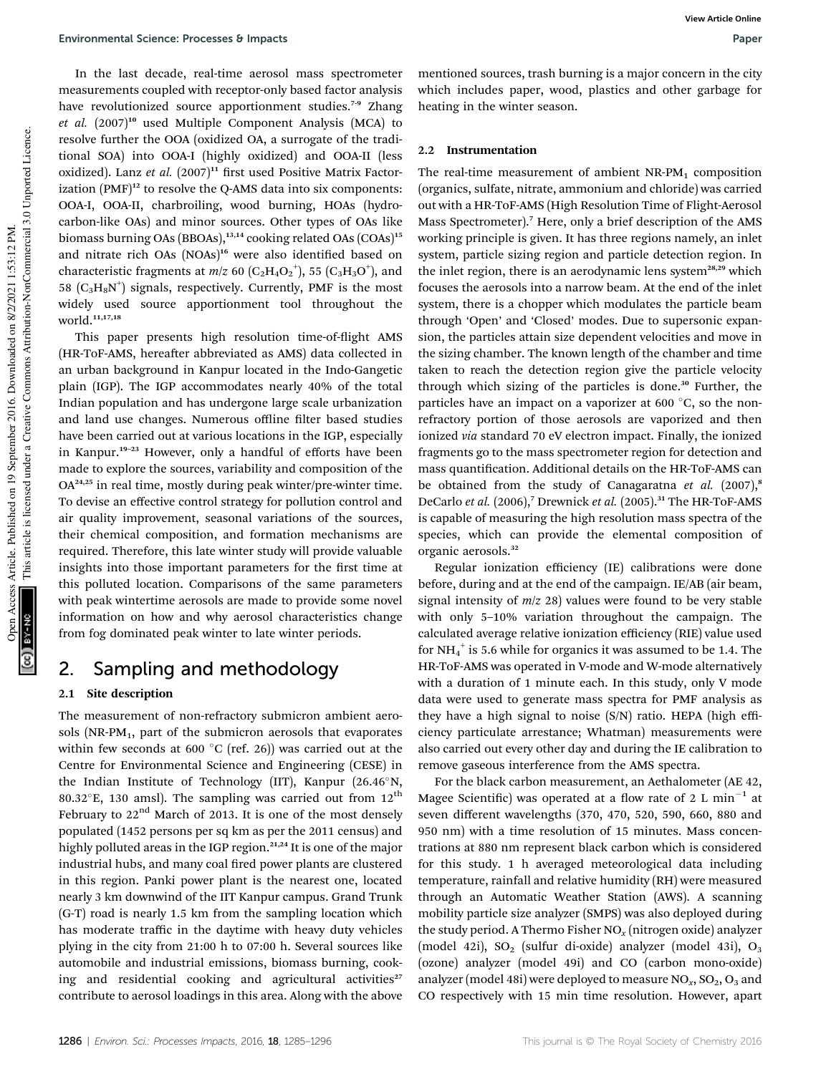In the last decade, real-time aerosol mass spectrometer measurements coupled with receptor-only based factor analysis have revolutionized source apportionment studies.<sup>7-9</sup> Zhang et al. (2007)<sup>10</sup> used Multiple Component Analysis (MCA) to resolve further the OOA (oxidized OA, a surrogate of the traditional SOA) into OOA-I (highly oxidized) and OOA-II (less oxidized). Lanz et al. (2007)<sup>11</sup> first used Positive Matrix Factorization  $(PMF)^{12}$  to resolve the Q-AMS data into six components: OOA-I, OOA-II, charbroiling, wood burning, HOAs (hydrocarbon-like OAs) and minor sources. Other types of OAs like biomass burning OAs (BBOAs),<sup>13,14</sup> cooking related OAs (COAs)<sup>15</sup> and nitrate rich OAs (NOAs)<sup>16</sup> were also identified based on characteristic fragments at  $m/z$  60 ( $C_2H_4O_2^{\text{+}}$ ), 55 ( $C_3H_3O^{\text{+}}$ ), and 58  $(C_3H_8N^+)$  signals, respectively. Currently, PMF is the most widely used source apportionment tool throughout the world.<sup>11,17,18</sup>

This paper presents high resolution time-of-flight AMS (HR-ToF-AMS, hereafter abbreviated as AMS) data collected in an urban background in Kanpur located in the Indo-Gangetic plain (IGP). The IGP accommodates nearly 40% of the total Indian population and has undergone large scale urbanization and land use changes. Numerous offline filter based studies have been carried out at various locations in the IGP, especially in Kanpur.<sup>19-23</sup> However, only a handful of efforts have been made to explore the sources, variability and composition of the OA24,25 in real time, mostly during peak winter/pre-winter time. To devise an effective control strategy for pollution control and air quality improvement, seasonal variations of the sources, their chemical composition, and formation mechanisms are required. Therefore, this late winter study will provide valuable insights into those important parameters for the first time at this polluted location. Comparisons of the same parameters with peak wintertime aerosols are made to provide some novel information on how and why aerosol characteristics change from fog dominated peak winter to late winter periods.

### 2. Sampling and methodology

#### 2.1 Site description

The measurement of non-refractory submicron ambient aerosols ( $NR$ - $PM_1$ , part of the submicron aerosols that evaporates within few seconds at 600 °C (ref. 26)) was carried out at the Centre for Environmental Science and Engineering (CESE) in the Indian Institute of Technology (IIT), Kanpur (26.46 $\mathrm{N}$ , 80.32°E, 130 amsl). The sampling was carried out from  $12<sup>th</sup>$ February to  $22<sup>nd</sup>$  March of 2013. It is one of the most densely populated (1452 persons per sq km as per the 2011 census) and highly polluted areas in the IGP region.<sup>21,24</sup> It is one of the major industrial hubs, and many coal fired power plants are clustered in this region. Panki power plant is the nearest one, located nearly 3 km downwind of the IIT Kanpur campus. Grand Trunk (G-T) road is nearly 1.5 km from the sampling location which has moderate traffic in the daytime with heavy duty vehicles plying in the city from 21:00 h to 07:00 h. Several sources like automobile and industrial emissions, biomass burning, cooking and residential cooking and agricultural activities<sup>27</sup> contribute to aerosol loadings in this area. Along with the above

mentioned sources, trash burning is a major concern in the city which includes paper, wood, plastics and other garbage for heating in the winter season.

#### 2.2 Instrumentation

The real-time measurement of ambient  $NR-PM_1$  composition (organics, sulfate, nitrate, ammonium and chloride) was carried out with a HR-ToF-AMS (High Resolution Time of Flight-Aerosol Mass Spectrometer).<sup>7</sup> Here, only a brief description of the AMS working principle is given. It has three regions namely, an inlet system, particle sizing region and particle detection region. In the inlet region, there is an aerodynamic lens system<sup>28,29</sup> which focuses the aerosols into a narrow beam. At the end of the inlet system, there is a chopper which modulates the particle beam through 'Open' and 'Closed' modes. Due to supersonic expansion, the particles attain size dependent velocities and move in the sizing chamber. The known length of the chamber and time taken to reach the detection region give the particle velocity through which sizing of the particles is done.<sup>30</sup> Further, the particles have an impact on a vaporizer at 600 $\degree$ C, so the nonrefractory portion of those aerosols are vaporized and then ionized *via* standard 70 eV electron impact. Finally, the ionized fragments go to the mass spectrometer region for detection and mass quantification. Additional details on the HR-ToF-AMS can be obtained from the study of Canagaratna et al. (2007),<sup>8</sup> DeCarlo *et al.* (2006),<sup>7</sup> Drewnick *et al.* (2005).<sup>31</sup> The HR-ToF-AMS is capable of measuring the high resolution mass spectra of the species, which can provide the elemental composition of organic aerosols.<sup>32</sup>

Regular ionization efficiency (IE) calibrations were done before, during and at the end of the campaign. IE/AB (air beam, signal intensity of *m*/*z* 28) values were found to be very stable with only 5–10% variation throughout the campaign. The calculated average relative ionization efficiency (RIE) value used for NH $_4^+$  is 5.6 while for organics it was assumed to be 1.4. The HR-ToF-AMS was operated in V-mode and W-mode alternatively with a duration of 1 minute each. In this study, only V mode data were used to generate mass spectra for PMF analysis as they have a high signal to noise (S/N) ratio. HEPA (high efficiency particulate arrestance; Whatman) measurements were also carried out every other day and during the IE calibration to remove gaseous interference from the AMS spectra.

For the black carbon measurement, an Aethalometer (AE 42, Magee Scientific) was operated at a flow rate of 2 L  $min^{-1}$  at seven different wavelengths (370, 470, 520, 590, 660, 880 and 950 nm) with a time resolution of 15 minutes. Mass concentrations at 880 nm represent black carbon which is considered for this study. 1 h averaged meteorological data including temperature, rainfall and relative humidity (RH) were measured through an Automatic Weather Station (AWS). A scanning mobility particle size analyzer (SMPS) was also deployed during the study period. A Thermo Fisher NO*<sup>x</sup>* (nitrogen oxide) analyzer (model 42i),  $SO_2$  (sulfur di-oxide) analyzer (model 43i),  $O_3$ (ozone) analyzer (model 49i) and CO (carbon mono-oxide) analyzer (model 48 $i$ ) were deployed to measure  $\rm NO_x$ ,  $\rm SO_2$ ,  $\rm O_3$  and CO respectively with 15 min time resolution. However, apart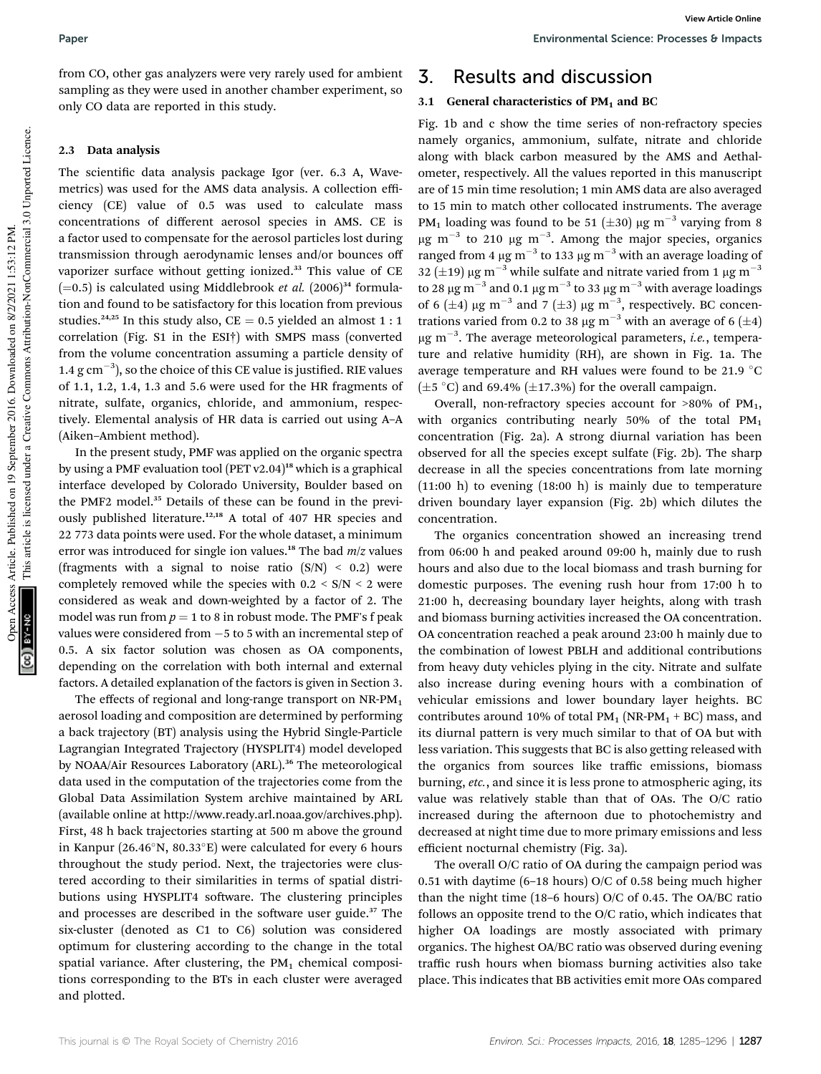from CO, other gas analyzers were very rarely used for ambient sampling as they were used in another chamber experiment, so only CO data are reported in this study.

#### 2.3 Data analysis

The scientific data analysis package Igor (ver. 6.3 A, Wavemetrics) was used for the AMS data analysis. A collection efficiency (CE) value of 0.5 was used to calculate mass concentrations of different aerosol species in AMS. CE is a factor used to compensate for the aerosol particles lost during transmission through aerodynamic lenses and/or bounces off vaporizer surface without getting ionized.<sup>33</sup> This value of CE  $(=0.5)$  is calculated using Middlebrook *et al.*  $(2006)^{34}$  formulation and found to be satisfactory for this location from previous studies.<sup>24,25</sup> In this study also,  $CE = 0.5$  yielded an almost 1 : 1 correlation (Fig. S1 in the ESI†) with SMPS mass (converted from the volume concentration assuming a particle density of 1.4  $\rm{g\,cm^{-3}}$ ), so the choice of this CE value is justified. RIE values of 1.1, 1.2, 1.4, 1.3 and 5.6 were used for the HR fragments of nitrate, sulfate, organics, chloride, and ammonium, respectively. Elemental analysis of HR data is carried out using A–A (Aiken–Ambient method).

In the present study, PMF was applied on the organic spectra by using a PMF evaluation tool  $($ PET v2.04 $)$ <sup>18</sup> which is a graphical interface developed by Colorado University, Boulder based on the PMF2 model.<sup>35</sup> Details of these can be found in the previously published literature.12,18 A total of 407 HR species and 22 773 data points were used. For the whole dataset, a minimum error was introduced for single ion values.<sup>18</sup> The bad *m*/*z* values (fragments with a signal to noise ratio  $(S/N) < 0.2$ ) were completely removed while the species with  $0.2 < S/N < 2$  were considered as weak and down-weighted by a factor of 2. The model was run from  $p = 1$  to 8 in robust mode. The PMF's f peak values were considered from  $-5$  to 5 with an incremental step of 0.5. A six factor solution was chosen as OA components, depending on the correlation with both internal and external factors. A detailed explanation of the factors is given in Section 3.

The effects of regional and long-range transport on NR-PM<sub>1</sub> aerosol loading and composition are determined by performing a back trajectory (BT) analysis using the Hybrid Single-Particle Lagrangian Integrated Trajectory (HYSPLIT4) model developed by NOAA/Air Resources Laboratory (ARL).<sup>36</sup> The meteorological data used in the computation of the trajectories come from the Global Data Assimilation System archive maintained by ARL (available online at http://www.ready.arl.noaa.gov/archives.php). First, 48 h back trajectories starting at 500 m above the ground in Kanpur (26.46 $\textdegree$ N, 80.33 $\textdegree$ E) were calculated for every 6 hours throughout the study period. Next, the trajectories were clustered according to their similarities in terms of spatial distributions using HYSPLIT4 software. The clustering principles and processes are described in the software user guide.<sup>37</sup> The six-cluster (denoted as C1 to C6) solution was considered optimum for clustering according to the change in the total spatial variance. After clustering, the  $PM_1$  chemical compositions corresponding to the BTs in each cluster were averaged and plotted.

### 3. Results and discussion

### 3.1 General characteristics of  $PM<sub>1</sub>$  and BC

Fig. 1b and c show the time series of non-refractory species namely organics, ammonium, sulfate, nitrate and chloride along with black carbon measured by the AMS and Aethalometer, respectively. All the values reported in this manuscript are of 15 min time resolution; 1 min AMS data are also averaged to 15 min to match other collocated instruments. The average PM<sub>1</sub> loading was found to be 51 ( $\pm$ 30) µg m<sup>-3</sup> varying from 8  $\mu$ g m<sup>-3</sup> to 210  $\mu$ g m<sup>-3</sup>. Among the major species, organics ranged from 4  $\mu$ g m<sup>-3</sup> to 133  $\mu$ g m<sup>-3</sup> with an average loading of 32 ( $\pm$ 19)  $\mu$ g m<sup>-3</sup> while sulfate and nitrate varied from 1  $\mu$ g m<sup>-3</sup> to 28  $\mu$ g m<sup>-3</sup> and 0.1  $\mu$ g m<sup>-3</sup> to 33  $\mu$ g m<sup>-3</sup> with average loadings of 6 ( $\pm$ 4) µg m<sup>-3</sup> and 7 ( $\pm$ 3) µg m<sup>-3</sup>, respectively. BC concentrations varied from 0.2 to 38  $\mu$ g m<sup>-3</sup> with an average of 6 ( $\pm$ 4) <sup>m</sup>g m<sup>3</sup> . The average meteorological parameters, *i.e.*, temperature and relative humidity (RH), are shown in Fig. 1a. The average temperature and RH values were found to be 21.9  $^{\circ}$ C  $(\pm 5 \degree C)$  and 69.4%  $(\pm 17.3\%)$  for the overall campaign.

Overall, non-refractory species account for  $>80\%$  of PM<sub>1</sub>, with organics contributing nearly 50% of the total  $PM_1$ concentration (Fig. 2a). A strong diurnal variation has been observed for all the species except sulfate (Fig. 2b). The sharp decrease in all the species concentrations from late morning (11:00 h) to evening (18:00 h) is mainly due to temperature driven boundary layer expansion (Fig. 2b) which dilutes the concentration.

The organics concentration showed an increasing trend from 06:00 h and peaked around 09:00 h, mainly due to rush hours and also due to the local biomass and trash burning for domestic purposes. The evening rush hour from 17:00 h to 21:00 h, decreasing boundary layer heights, along with trash and biomass burning activities increased the OA concentration. OA concentration reached a peak around 23:00 h mainly due to the combination of lowest PBLH and additional contributions from heavy duty vehicles plying in the city. Nitrate and sulfate also increase during evening hours with a combination of vehicular emissions and lower boundary layer heights. BC contributes around 10% of total  $PM_1$  (NR-PM<sub>1</sub> + BC) mass, and its diurnal pattern is very much similar to that of OA but with less variation. This suggests that BC is also getting released with the organics from sources like traffic emissions, biomass burning, *etc.*, and since it is less prone to atmospheric aging, its value was relatively stable than that of OAs. The O/C ratio increased during the afternoon due to photochemistry and decreased at night time due to more primary emissions and less efficient nocturnal chemistry (Fig. 3a).

The overall O/C ratio of OA during the campaign period was 0.51 with daytime (6–18 hours) O/C of 0.58 being much higher than the night time (18–6 hours) O/C of 0.45. The OA/BC ratio follows an opposite trend to the O/C ratio, which indicates that higher OA loadings are mostly associated with primary organics. The highest OA/BC ratio was observed during evening traffic rush hours when biomass burning activities also take place. This indicates that BB activities emit more OAs compared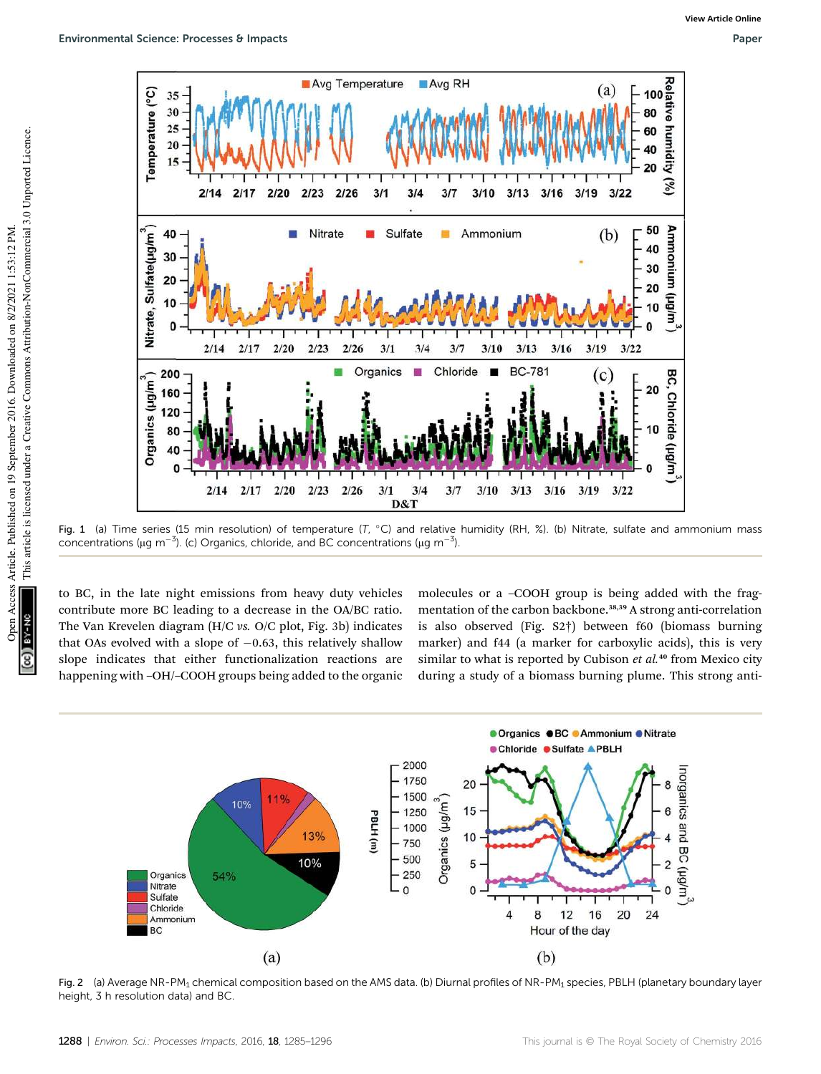

Fig. 1 (a) Time series (15 min resolution) of temperature (T, °C) and relative humidity (RH, %). (b) Nitrate, sulfate and ammonium mass concentrations ( $\mu$ g m<sup>-3</sup>). (c) Organics, chloride, and BC concentrations ( $\mu$ g m<sup>-3</sup>).

to BC, in the late night emissions from heavy duty vehicles contribute more BC leading to a decrease in the OA/BC ratio. The Van Krevelen diagram (H/C *vs.* O/C plot, Fig. 3b) indicates that OAs evolved with a slope of  $-0.63$ , this relatively shallow slope indicates that either functionalization reactions are happening with –OH/–COOH groups being added to the organic molecules or a –COOH group is being added with the fragmentation of the carbon backbone.<sup>38,39</sup> A strong anti-correlation is also observed (Fig. S2†) between f60 (biomass burning marker) and f44 (a marker for carboxylic acids), this is very similar to what is reported by Cubison *et al.*<sup>40</sup> from Mexico city during a study of a biomass burning plume. This strong anti-



Fig. 2 (a) Average NR-PM<sub>1</sub> chemical composition based on the AMS data. (b) Diurnal profiles of NR-PM<sub>1</sub> species, PBLH (planetary boundary layer height, 3 h resolution data) and BC.

ල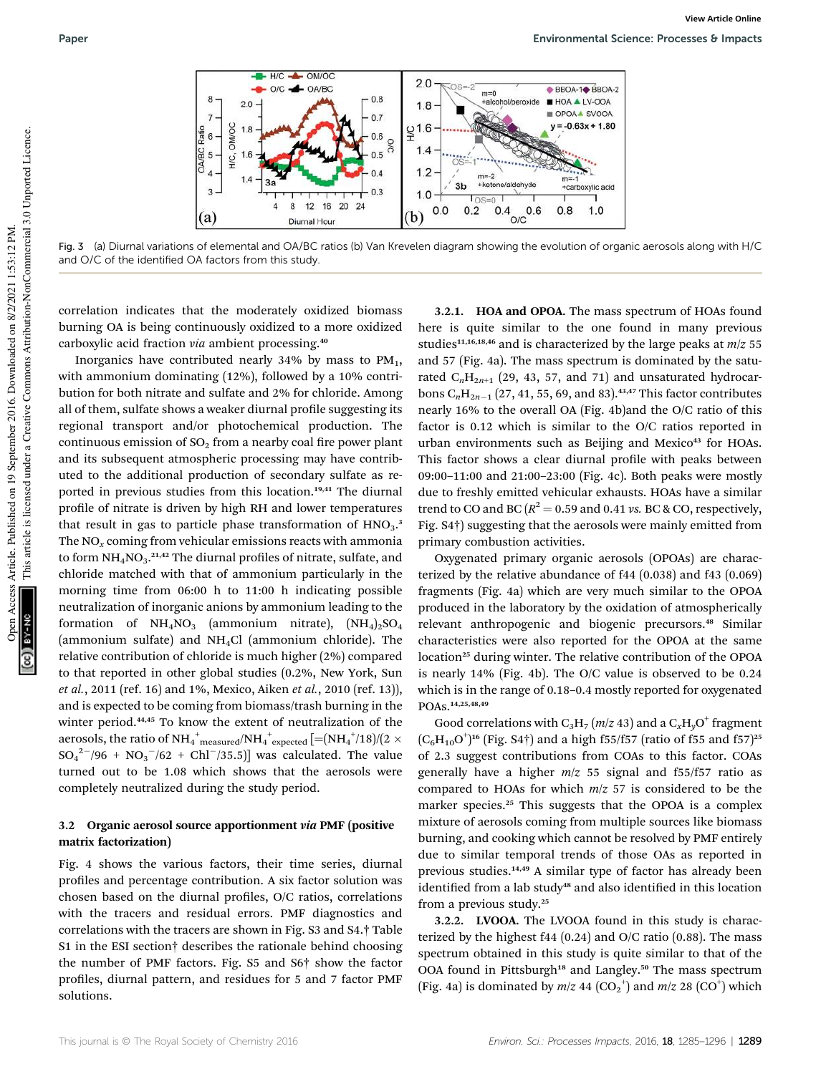

Fig. 3 (a) Diurnal variations of elemental and OA/BC ratios (b) Van Krevelen diagram showing the evolution of organic aerosols along with H/C and O/C of the identified OA factors from this study.

correlation indicates that the moderately oxidized biomass burning OA is being continuously oxidized to a more oxidized carboxylic acid fraction *via* ambient processing.<sup>40</sup>

Inorganics have contributed nearly 34% by mass to  $PM_1$ , with ammonium dominating (12%), followed by a 10% contribution for both nitrate and sulfate and 2% for chloride. Among all of them, sulfate shows a weaker diurnal profile suggesting its regional transport and/or photochemical production. The continuous emission of  $SO<sub>2</sub>$  from a nearby coal fire power plant and its subsequent atmospheric processing may have contributed to the additional production of secondary sulfate as reported in previous studies from this location.<sup>19,41</sup> The diurnal profile of nitrate is driven by high RH and lower temperatures that result in gas to particle phase transformation of  $HNO<sub>3</sub>$ . The NO*<sup>x</sup>* coming from vehicular emissions reacts with ammonia to form  $\text{NH}_4\text{NO}_3$ .<sup>21,42</sup> The diurnal profiles of nitrate, sulfate, and chloride matched with that of ammonium particularly in the morning time from 06:00 h to 11:00 h indicating possible neutralization of inorganic anions by ammonium leading to the formation of  $NH_4NO_3$  (ammonium nitrate),  $(NH_4)_2SO_4$ (ammonium sulfate) and NH4Cl (ammonium chloride). The relative contribution of chloride is much higher (2%) compared to that reported in other global studies (0.2%, New York, Sun *et al.*, 2011 (ref. 16) and 1%, Mexico, Aiken *et al.*, 2010 (ref. 13)), and is expected to be coming from biomass/trash burning in the winter period.44,45 To know the extent of neutralization of the aerosols, the ratio of NH<sub>4</sub>  $^+_{\rm measured/NH_4}$   $^+_{\rm expected}$  [=(NH<sub>4</sub>  $^+/18)/(2\times$  $SO_4^{2-}/96 + NO_3^-/62 + Chl^-/35.5]$  was calculated. The value turned out to be 1.08 which shows that the aerosols were completely neutralized during the study period.

### 3.2 Organic aerosol source apportionment via PMF (positive matrix factorization)

Fig. 4 shows the various factors, their time series, diurnal profiles and percentage contribution. A six factor solution was chosen based on the diurnal profiles,  $O/C$  ratios, correlations with the tracers and residual errors. PMF diagnostics and correlations with the tracers are shown in Fig. S3 and S4.† Table S1 in the ESI section† describes the rationale behind choosing the number of PMF factors. Fig. S5 and S6† show the factor profiles, diurnal pattern, and residues for 5 and 7 factor PMF solutions.

3.2.1. HOA and OPOA. The mass spectrum of HOAs found here is quite similar to the one found in many previous studies<sup>11,16,18,46</sup> and is characterized by the large peaks at  $m/z$  55 and 57 (Fig. 4a). The mass spectrum is dominated by the saturated  $C_nH_{2n+1}$  (29, 43, 57, and 71) and unsaturated hydrocarbons  $C_nH_{2n-1}$  (27, 41, 55, 69, and 83).<sup>43,47</sup> This factor contributes nearly 16% to the overall OA (Fig. 4b)and the O/C ratio of this factor is 0.12 which is similar to the O/C ratios reported in urban environments such as Beijing and Mexico<sup>43</sup> for HOAs. This factor shows a clear diurnal profile with peaks between 09:00–11:00 and 21:00–23:00 (Fig. 4c). Both peaks were mostly due to freshly emitted vehicular exhausts. HOAs have a similar trend to CO and BC ( $R^2$  = 0.59 and 0.41 *vs.* BC & CO, respectively, Fig. S4†) suggesting that the aerosols were mainly emitted from primary combustion activities.

Oxygenated primary organic aerosols (OPOAs) are characterized by the relative abundance of f44 (0.038) and f43 (0.069) fragments (Fig. 4a) which are very much similar to the OPOA produced in the laboratory by the oxidation of atmospherically relevant anthropogenic and biogenic precursors.<sup>48</sup> Similar characteristics were also reported for the OPOA at the same location<sup>25</sup> during winter. The relative contribution of the OPOA is nearly 14% (Fig. 4b). The O/C value is observed to be 0.24 which is in the range of 0.18–0.4 mostly reported for oxygenated POAs.<sup>14,25,48,49</sup>

Good correlations with  $C_3H_7(m/z 43)$  and a  $C_xH_yO^+$  fragment  $(C_6H_{10}O^+)^{16}$  (Fig. S4†) and a high f55/f57 (ratio of f55 and f57)<sup>25</sup> of 2.3 suggest contributions from COAs to this factor. COAs generally have a higher *m*/*z* 55 signal and f55/f57 ratio as compared to HOAs for which *m*/*z* 57 is considered to be the marker species.<sup>25</sup> This suggests that the OPOA is a complex mixture of aerosols coming from multiple sources like biomass burning, and cooking which cannot be resolved by PMF entirely due to similar temporal trends of those OAs as reported in previous studies.<sup>14,49</sup> A similar type of factor has already been identified from a lab study<sup>48</sup> and also identified in this location from a previous study.<sup>25</sup>

3.2.2. LVOOA. The LVOOA found in this study is characterized by the highest f44 (0.24) and O/C ratio (0.88). The mass spectrum obtained in this study is quite similar to that of the OOA found in Pittsburgh<sup>18</sup> and Langley.<sup>50</sup> The mass spectrum (Fig. 4a) is dominated by  $m/z$  44 (CO<sub>2</sub><sup>+</sup>) and  $m/z$  28 (CO<sup>+</sup>) which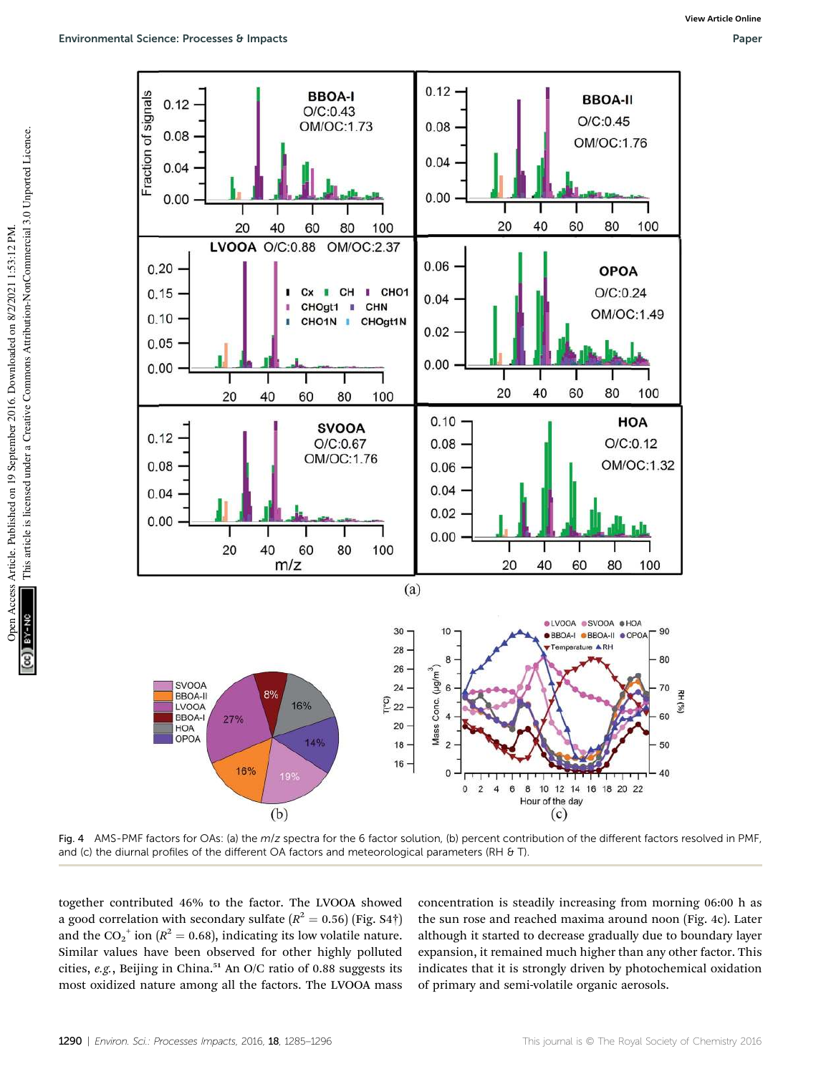

Fig. 4 AMS-PMF factors for OAs: (a) the *m*/*z* spectra for the 6 factor solution, (b) percent contribution of the different factors resolved in PMF, and (c) the diurnal profiles of the different OA factors and meteorological parameters (RH & T).

together contributed 46% to the factor. The LVOOA showed a good correlation with secondary sulfate ( $R^2 = 0.56$ ) (Fig. S4†) and the CO $_2^+$  ion ( $R^2=$  0.68), indicating its low volatile nature. Similar values have been observed for other highly polluted cities, *e.g.*, Beijing in China.<sup>51</sup> An O/C ratio of 0.88 suggests its most oxidized nature among all the factors. The LVOOA mass concentration is steadily increasing from morning 06:00 h as the sun rose and reached maxima around noon (Fig. 4c). Later although it started to decrease gradually due to boundary layer expansion, it remained much higher than any other factor. This indicates that it is strongly driven by photochemical oxidation of primary and semi-volatile organic aerosols.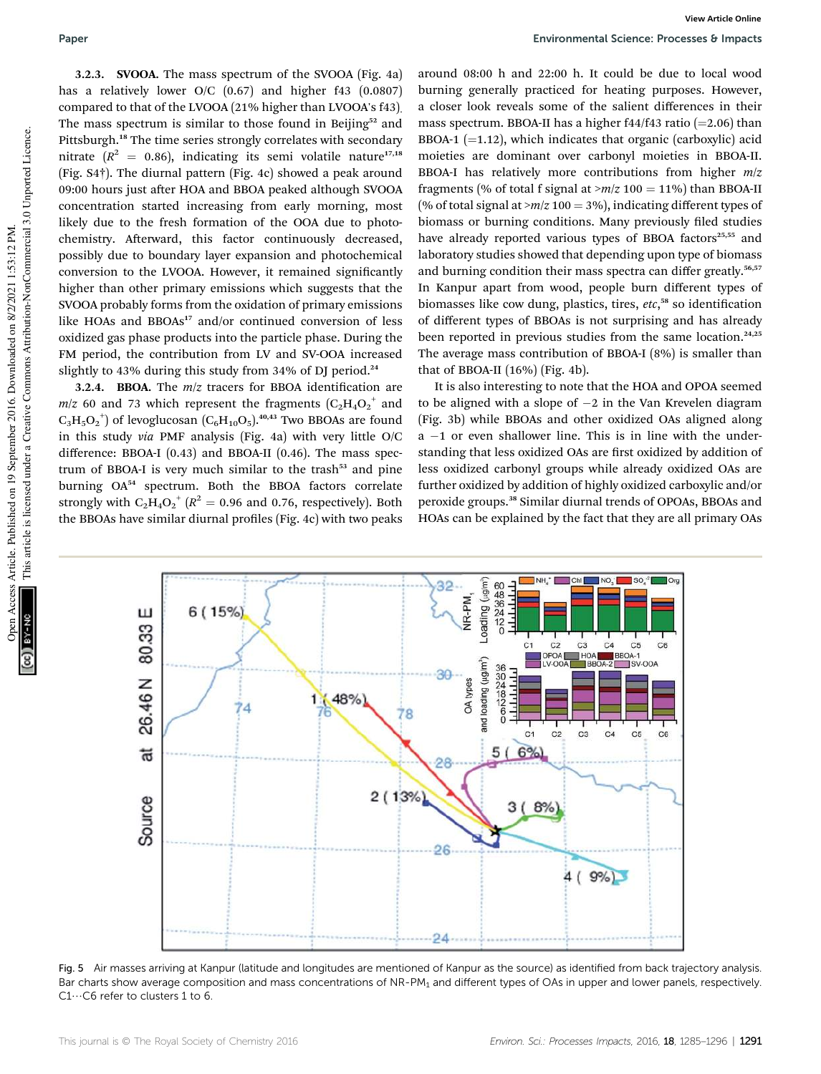3.2.3. SVOOA. The mass spectrum of the SVOOA (Fig. 4a) has a relatively lower O/C (0.67) and higher f43 (0.0807) compared to that of the LVOOA (21% higher than LVOOA's f43). The mass spectrum is similar to those found in Beijing $52$  and Pittsburgh.<sup>18</sup> The time series strongly correlates with secondary nitrate  $(R^2 = 0.86)$ , indicating its semi volatile nature<sup>17,18</sup> (Fig. S4†). The diurnal pattern (Fig. 4c) showed a peak around 09:00 hours just after HOA and BBOA peaked although SVOOA concentration started increasing from early morning, most likely due to the fresh formation of the OOA due to photochemistry. Afterward, this factor continuously decreased, possibly due to boundary layer expansion and photochemical conversion to the LVOOA. However, it remained signicantly higher than other primary emissions which suggests that the SVOOA probably forms from the oxidation of primary emissions like HOAs and BBOAs<sup>17</sup> and/or continued conversion of less oxidized gas phase products into the particle phase. During the FM period, the contribution from LV and SV-OOA increased slightly to 43% during this study from 34% of DJ period.<sup>24</sup>

3.2.4. BBOA. The  $m/z$  tracers for BBOA identification are  $m/z$  60 and 73 which represent the fragments  $\left(C_2\right)H_4O_2^+$  and  $\rm{C_3H_5O_2}^+$ ) of levoglucosan  $\rm{(C_6H_{10}O_5)}$ .<sup>40,43</sup> Two BBOAs are found in this study *via* PMF analysis (Fig. 4a) with very little O/C difference: BBOA-I (0.43) and BBOA-II (0.46). The mass spectrum of BBOA-I is very much similar to the trash<sup>53</sup> and pine burning OA<sup>54</sup> spectrum. Both the BBOA factors correlate strongly with  $C_2H_4O_2^{\text{+}}$  ( $R^2 = 0.96$  and 0.76, respectively). Both the BBOAs have similar diurnal profiles (Fig. 4c) with two peaks

around 08:00 h and 22:00 h. It could be due to local wood burning generally practiced for heating purposes. However, a closer look reveals some of the salient differences in their mass spectrum. BBOA-II has a higher f44/f43 ratio  $(=2.06)$  than BBOA-1  $(=1.12)$ , which indicates that organic (carboxylic) acid moieties are dominant over carbonyl moieties in BBOA-II. BBOA-I has relatively more contributions from higher *m*/*z* fragments (% of total f signal at  $>m/z$  100 = 11%) than BBOA-II (% of total signal at  $>m/z$  100 = 3%), indicating different types of biomass or burning conditions. Many previously filed studies have already reported various types of BBOA factors<sup>25,55</sup> and laboratory studies showed that depending upon type of biomass and burning condition their mass spectra can differ greatly.<sup>56,57</sup> In Kanpur apart from wood, people burn different types of biomasses like cow dung, plastics, tires, etc,<sup>58</sup> so identification of different types of BBOAs is not surprising and has already been reported in previous studies from the same location.<sup>24,25</sup> The average mass contribution of BBOA-I (8%) is smaller than that of BBOA-II (16%) (Fig. 4b).

It is also interesting to note that the HOA and OPOA seemed to be aligned with a slope of  $-2$  in the Van Krevelen diagram (Fig. 3b) while BBOAs and other oxidized OAs aligned along  $a -1$  or even shallower line. This is in line with the understanding that less oxidized OAs are first oxidized by addition of less oxidized carbonyl groups while already oxidized OAs are further oxidized by addition of highly oxidized carboxylic and/or peroxide groups.<sup>38</sup> Similar diurnal trends of OPOAs, BBOAs and HOAs can be explained by the fact that they are all primary OAs



Fig. 5 Air masses arriving at Kanpur (latitude and longitudes are mentioned of Kanpur as the source) as identified from back trajectory analysis. Bar charts show average composition and mass concentrations of NR-PM<sub>1</sub> and different types of OAs in upper and lower panels, respectively  $C1 \cdots C6$  refer to clusters 1 to 6.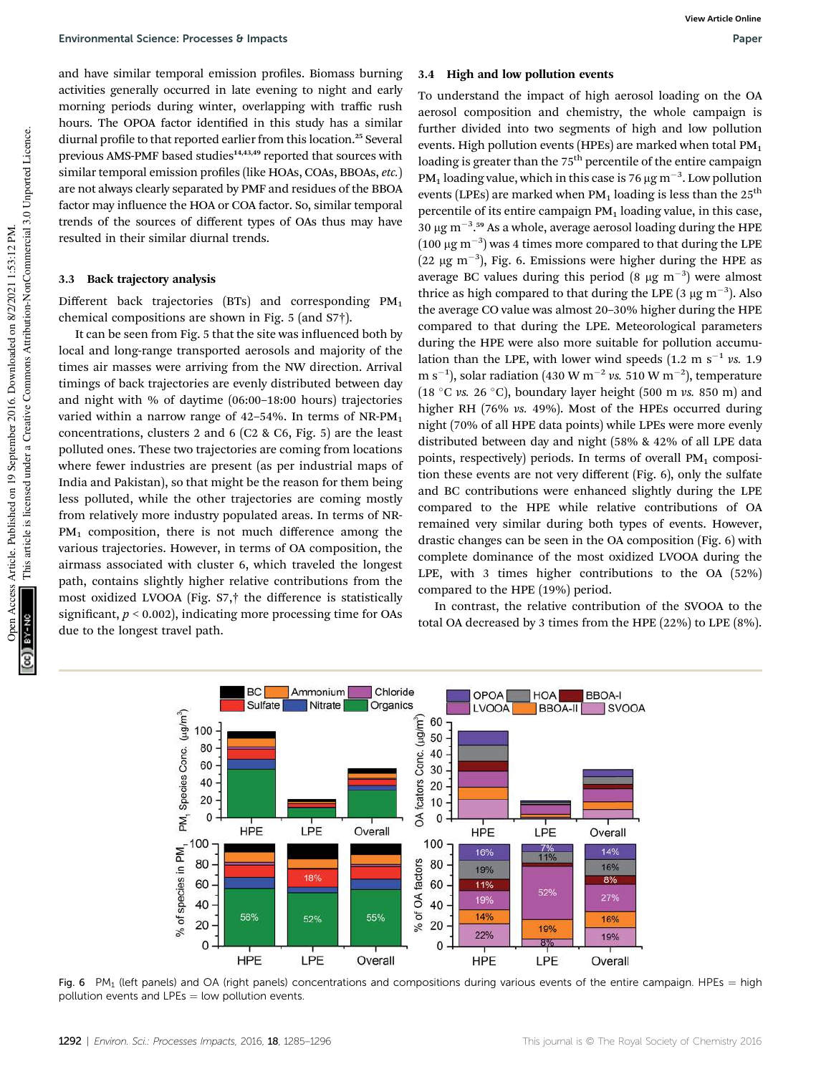and have similar temporal emission profiles. Biomass burning activities generally occurred in late evening to night and early morning periods during winter, overlapping with traffic rush hours. The OPOA factor identified in this study has a similar diurnal profile to that reported earlier from this location.<sup>25</sup> Several previous AMS-PMF based studies<sup>14,43,49</sup> reported that sources with similar temporal emission profiles (like HOAs, COAs, BBOAs, etc.) are not always clearly separated by PMF and residues of the BBOA factor may influence the HOA or COA factor. So, similar temporal trends of the sources of different types of OAs thus may have resulted in their similar diurnal trends.

#### 3.3 Back trajectory analysis

Different back trajectories (BTs) and corresponding PM<sub>1</sub> chemical compositions are shown in Fig. 5 (and S7†).

It can be seen from Fig. 5 that the site was influenced both by local and long-range transported aerosols and majority of the times air masses were arriving from the NW direction. Arrival timings of back trajectories are evenly distributed between day and night with % of daytime (06:00–18:00 hours) trajectories varied within a narrow range of 42-54%. In terms of  $NR$ - $PM_1$ concentrations, clusters 2 and 6 (C2 & C6, Fig. 5) are the least polluted ones. These two trajectories are coming from locations where fewer industries are present (as per industrial maps of India and Pakistan), so that might be the reason for them being less polluted, while the other trajectories are coming mostly from relatively more industry populated areas. In terms of NR- $PM_1$  composition, there is not much difference among the various trajectories. However, in terms of OA composition, the airmass associated with cluster 6, which traveled the longest path, contains slightly higher relative contributions from the most oxidized LVOOA (Fig. S7,† the difference is statistically significant,  $p < 0.002$ ), indicating more processing time for OAs due to the longest travel path.

#### 3.4 High and low pollution events

To understand the impact of high aerosol loading on the OA aerosol composition and chemistry, the whole campaign is further divided into two segments of high and low pollution events. High pollution events (HPEs) are marked when total PM<sub>1</sub> loading is greater than the 75<sup>th</sup> percentile of the entire campaign PM<sub>1</sub> loading value, which in this case is 76  $\mu$ g m<sup>-3</sup>. Low pollution events (LPEs) are marked when  $PM_1$  loading is less than the 25<sup>th</sup> percentile of its entire campaign  $PM<sub>1</sub>$  loading value, in this case,  $30 \mu g$  m<sup>-3</sup>.<sup>59</sup> As a whole, average aerosol loading during the HPE  $(100 \mu g m^{-3})$  was 4 times more compared to that during the LPE (22  $\mu$ g m<sup>-3</sup>), Fig. 6. Emissions were higher during the HPE as average BC values during this period  $(8 \mu g m^{-3})$  were almost thrice as high compared to that during the LPE  $(3 \mu g m^{-3})$ . Also the average CO value was almost 20–30% higher during the HPE compared to that during the LPE. Meteorological parameters during the HPE were also more suitable for pollution accumulation than the LPE, with lower wind speeds  $(1.2 \text{ m s}^{-1} \text{ vs. } 1.9)$ m s<sup>-1</sup>), solar radiation (430 W m<sup>-2</sup> vs. 510 W m<sup>-2</sup>), temperature (18 °C *vs.* 26 °C), boundary layer height (500 m *vs.* 850 m) and higher RH (76% *vs.* 49%). Most of the HPEs occurred during night (70% of all HPE data points) while LPEs were more evenly distributed between day and night (58% & 42% of all LPE data points, respectively) periods. In terms of overall  $PM<sub>1</sub>$  composition these events are not very different (Fig. 6), only the sulfate and BC contributions were enhanced slightly during the LPE compared to the HPE while relative contributions of OA remained very similar during both types of events. However, drastic changes can be seen in the OA composition (Fig. 6) with complete dominance of the most oxidized LVOOA during the LPE, with 3 times higher contributions to the OA (52%) compared to the HPE (19%) period.

In contrast, the relative contribution of the SVOOA to the total OA decreased by 3 times from the HPE (22%) to LPE (8%).



Fig. 6  $PM<sub>1</sub>$  (left panels) and OA (right panels) concentrations and compositions during various events of the entire campaign. HPEs = high pollution events and  $LPEs = low$  pollution events.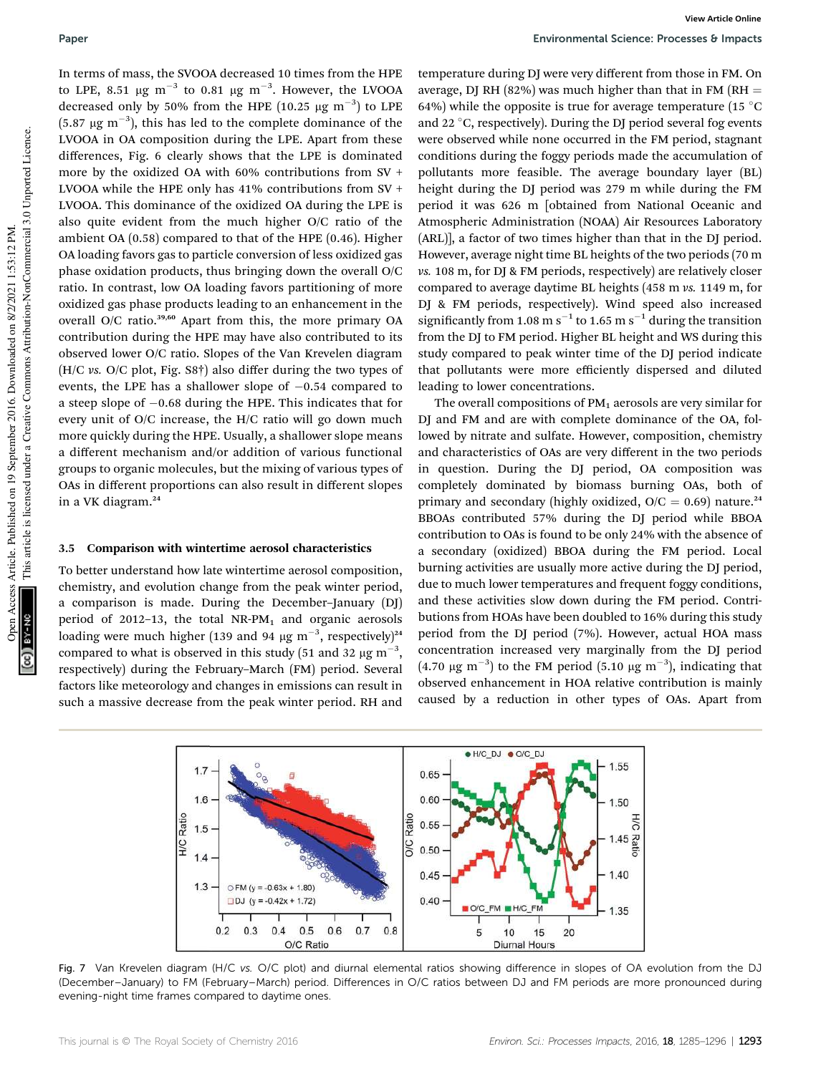In terms of mass, the SVOOA decreased 10 times from the HPE to LPE, 8.51  $\mu$ g m $^{-3}$  to 0.81  $\mu$ g m $^{-3}$ . However, the LVOOA decreased only by 50% from the HPE  $(10.25 \text{ µg m}^{-3})$  to LPE (5.87  $\mu$ g m<sup>-3</sup>), this has led to the complete dominance of the LVOOA in OA composition during the LPE. Apart from these differences, Fig. 6 clearly shows that the LPE is dominated more by the oxidized OA with 60% contributions from SV + LVOOA while the HPE only has  $41\%$  contributions from SV + LVOOA. This dominance of the oxidized OA during the LPE is also quite evident from the much higher O/C ratio of the ambient OA (0.58) compared to that of the HPE (0.46). Higher OA loading favors gas to particle conversion of less oxidized gas phase oxidation products, thus bringing down the overall O/C ratio. In contrast, low OA loading favors partitioning of more oxidized gas phase products leading to an enhancement in the overall O/C ratio.<sup>39,60</sup> Apart from this, the more primary OA contribution during the HPE may have also contributed to its observed lower O/C ratio. Slopes of the Van Krevelen diagram (H/C *vs.* O/C plot, Fig. S8†) also differ during the two types of events, the LPE has a shallower slope of  $-0.54$  compared to a steep slope of  $-0.68$  during the HPE. This indicates that for every unit of O/C increase, the H/C ratio will go down much more quickly during the HPE. Usually, a shallower slope means a different mechanism and/or addition of various functional groups to organic molecules, but the mixing of various types of OAs in different proportions can also result in different slopes in a VK diagram.<sup>24</sup>

#### 3.5 Comparison with wintertime aerosol characteristics

To better understand how late wintertime aerosol composition, chemistry, and evolution change from the peak winter period, a comparison is made. During the December–January (DJ) period of 2012-13, the total NR-PM<sub>1</sub> and organic aerosols loading were much higher (139 and 94  $\mu$ g m $^{-3}$ , respectively)<sup>24</sup> compared to what is observed in this study (51 and 32  $\mu$ g m<sup>-3</sup>, respectively) during the February–March (FM) period. Several factors like meteorology and changes in emissions can result in such a massive decrease from the peak winter period. RH and

temperature during DJ were very different from those in FM. On average, DJ RH (82%) was much higher than that in FM (RH  $=$ 64%) while the opposite is true for average temperature (15  $\degree$ C and 22  $\mathrm{^{\circ}C}$ , respectively). During the DJ period several fog events were observed while none occurred in the FM period, stagnant conditions during the foggy periods made the accumulation of pollutants more feasible. The average boundary layer (BL) height during the DJ period was 279 m while during the FM period it was 626 m [obtained from National Oceanic and Atmospheric Administration (NOAA) Air Resources Laboratory (ARL)], a factor of two times higher than that in the DJ period. However, average night time BL heights of the two periods (70 m *vs.* 108 m, for DJ & FM periods, respectively) are relatively closer compared to average daytime BL heights (458 m *vs.* 1149 m, for DJ & FM periods, respectively). Wind speed also increased significantly from 1.08 m s<sup>-1</sup> to 1.65 m s<sup>-1</sup> during the transition from the DJ to FM period. Higher BL height and WS during this study compared to peak winter time of the DJ period indicate that pollutants were more efficiently dispersed and diluted leading to lower concentrations.

The overall compositions of  $PM<sub>1</sub>$  aerosols are very similar for DJ and FM and are with complete dominance of the OA, followed by nitrate and sulfate. However, composition, chemistry and characteristics of OAs are very different in the two periods in question. During the DJ period, OA composition was completely dominated by biomass burning OAs, both of primary and secondary (highly oxidized,  $O/C = 0.69$ ) nature.<sup>24</sup> BBOAs contributed 57% during the DJ period while BBOA contribution to OAs is found to be only 24% with the absence of a secondary (oxidized) BBOA during the FM period. Local burning activities are usually more active during the DJ period, due to much lower temperatures and frequent foggy conditions, and these activities slow down during the FM period. Contributions from HOAs have been doubled to 16% during this study period from the DJ period (7%). However, actual HOA mass concentration increased very marginally from the DJ period  $(4.70 \text{ µg m}^{-3})$  to the FM period  $(5.10 \text{ µg m}^{-3})$ , indicating that observed enhancement in HOA relative contribution is mainly caused by a reduction in other types of OAs. Apart from



Fig. 7 Van Krevelen diagram (H/C *vs.* O/C plot) and diurnal elemental ratios showing difference in slopes of OA evolution from the DJ (December–January) to FM (February–March) period. Differences in O/C ratios between DJ and FM periods are more pronounced during evening-night time frames compared to daytime ones.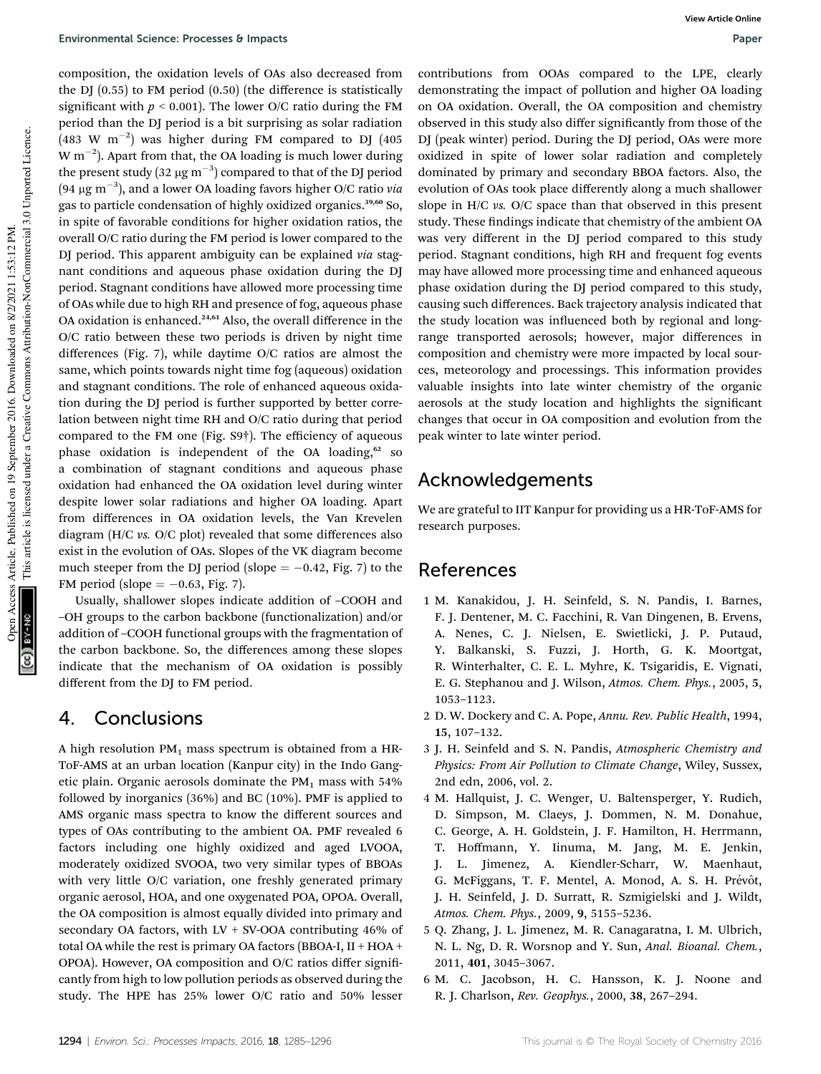composition, the oxidation levels of OAs also decreased from the DJ (0.55) to FM period (0.50) (the difference is statistically significant with  $p < 0.001$ ). The lower O/C ratio during the FM period than the DJ period is a bit surprising as solar radiation  $(483 \text{ W m}^{-2})$  was higher during FM compared to DJ  $(405 \text{ W m}^{-2})$  $\rm W~m^{-2}$ ). Apart from that, the OA loading is much lower during the present study (32  $\mu$ g m<sup>-3</sup>) compared to that of the DJ period (94 <sup>m</sup>g m<sup>3</sup> ), and a lower OA loading favors higher O/C ratio *via* gas to particle condensation of highly oxidized organics.<sup>39,60</sup> So, in spite of favorable conditions for higher oxidation ratios, the overall O/C ratio during the FM period is lower compared to the DJ period. This apparent ambiguity can be explained *via* stagnant conditions and aqueous phase oxidation during the DJ period. Stagnant conditions have allowed more processing time of OAs while due to high RH and presence of fog, aqueous phase OA oxidation is enhanced.<sup>24,61</sup> Also, the overall difference in the O/C ratio between these two periods is driven by night time differences (Fig. 7), while daytime O/C ratios are almost the same, which points towards night time fog (aqueous) oxidation and stagnant conditions. The role of enhanced aqueous oxidation during the DJ period is further supported by better correlation between night time RH and O/C ratio during that period compared to the FM one (Fig. S9†). The efficiency of aqueous phase oxidation is independent of the OA loading,<sup>62</sup> so a combination of stagnant conditions and aqueous phase oxidation had enhanced the OA oxidation level during winter despite lower solar radiations and higher OA loading. Apart from differences in OA oxidation levels, the Van Krevelen diagram (H/C *vs.* O/C plot) revealed that some differences also exist in the evolution of OAs. Slopes of the VK diagram become much steeper from the DJ period (slope  $= -0.42$ , Fig. 7) to the FM period (slope  $= -0.63$ , Fig. 7).

Usually, shallower slopes indicate addition of –COOH and –OH groups to the carbon backbone (functionalization) and/or addition of –COOH functional groups with the fragmentation of the carbon backbone. So, the differences among these slopes indicate that the mechanism of OA oxidation is possibly different from the DJ to FM period.

### 4. Conclusions

A high resolution  $PM_1$  mass spectrum is obtained from a HR-ToF-AMS at an urban location (Kanpur city) in the Indo Gangetic plain. Organic aerosols dominate the  $PM<sub>1</sub>$  mass with 54% followed by inorganics (36%) and BC (10%). PMF is applied to AMS organic mass spectra to know the different sources and types of OAs contributing to the ambient OA. PMF revealed 6 factors including one highly oxidized and aged LVOOA, moderately oxidized SVOOA, two very similar types of BBOAs with very little O/C variation, one freshly generated primary organic aerosol, HOA, and one oxygenated POA, OPOA. Overall, the OA composition is almost equally divided into primary and secondary OA factors, with  $LV + SV-OOA$  contributing 46% of total OA while the rest is primary OA factors (BBOA-I, II + HOA + OPOA). However, OA composition and O/C ratios differ significantly from high to low pollution periods as observed during the study. The HPE has 25% lower O/C ratio and 50% lesser

contributions from OOAs compared to the LPE, clearly demonstrating the impact of pollution and higher OA loading on OA oxidation. Overall, the OA composition and chemistry observed in this study also differ significantly from those of the DJ (peak winter) period. During the DJ period, OAs were more oxidized in spite of lower solar radiation and completely dominated by primary and secondary BBOA factors. Also, the evolution of OAs took place differently along a much shallower slope in H/C *vs.* O/C space than that observed in this present study. These findings indicate that chemistry of the ambient OA was very different in the DJ period compared to this study period. Stagnant conditions, high RH and frequent fog events may have allowed more processing time and enhanced aqueous phase oxidation during the DJ period compared to this study, causing such differences. Back trajectory analysis indicated that the study location was influenced both by regional and longrange transported aerosols; however, major differences in composition and chemistry were more impacted by local sources, meteorology and processings. This information provides valuable insights into late winter chemistry of the organic aerosols at the study location and highlights the signicant changes that occur in OA composition and evolution from the peak winter to late winter period.

### Acknowledgements

We are grateful to IIT Kanpur for providing us a HR-ToF-AMS for research purposes.

### References

- 1 M. Kanakidou, J. H. Seinfeld, S. N. Pandis, I. Barnes, F. J. Dentener, M. C. Facchini, R. Van Dingenen, B. Ervens, A. Nenes, C. J. Nielsen, E. Swietlicki, J. P. Putaud, Y. Balkanski, S. Fuzzi, J. Horth, G. K. Moortgat, R. Winterhalter, C. E. L. Myhre, K. Tsigaridis, E. Vignati, E. G. Stephanou and J. Wilson, *Atmos. Chem. Phys.*, 2005, 5, 1053–1123.
- 2 D. W. Dockery and C. A. Pope, *Annu. Rev. Public Health*, 1994, 15, 107–132.
- 3 J. H. Seinfeld and S. N. Pandis, *Atmospheric Chemistry and Physics: From Air Pollution to Climate Change*, Wiley, Sussex, 2nd edn, 2006, vol. 2.
- 4 M. Hallquist, J. C. Wenger, U. Baltensperger, Y. Rudich, D. Simpson, M. Claeys, J. Dommen, N. M. Donahue, C. George, A. H. Goldstein, J. F. Hamilton, H. Herrmann, T. Hoffmann, Y. Iinuma, M. Jang, M. E. Jenkin, J. L. Jimenez, A. Kiendler-Scharr, W. Maenhaut, G. McFiggans, T. F. Mentel, A. Monod, A. S. H. Prévôt, J. H. Seinfeld, J. D. Surratt, R. Szmigielski and J. Wildt, *Atmos. Chem. Phys.*, 2009, 9, 5155–5236.
- 5 Q. Zhang, J. L. Jimenez, M. R. Canagaratna, I. M. Ulbrich, N. L. Ng, D. R. Worsnop and Y. Sun, *Anal. Bioanal. Chem.*, 2011, 401, 3045–3067.
- 6 M. C. Jacobson, H. C. Hansson, K. J. Noone and R. J. Charlson, *Rev. Geophys.*, 2000, 38, 267–294.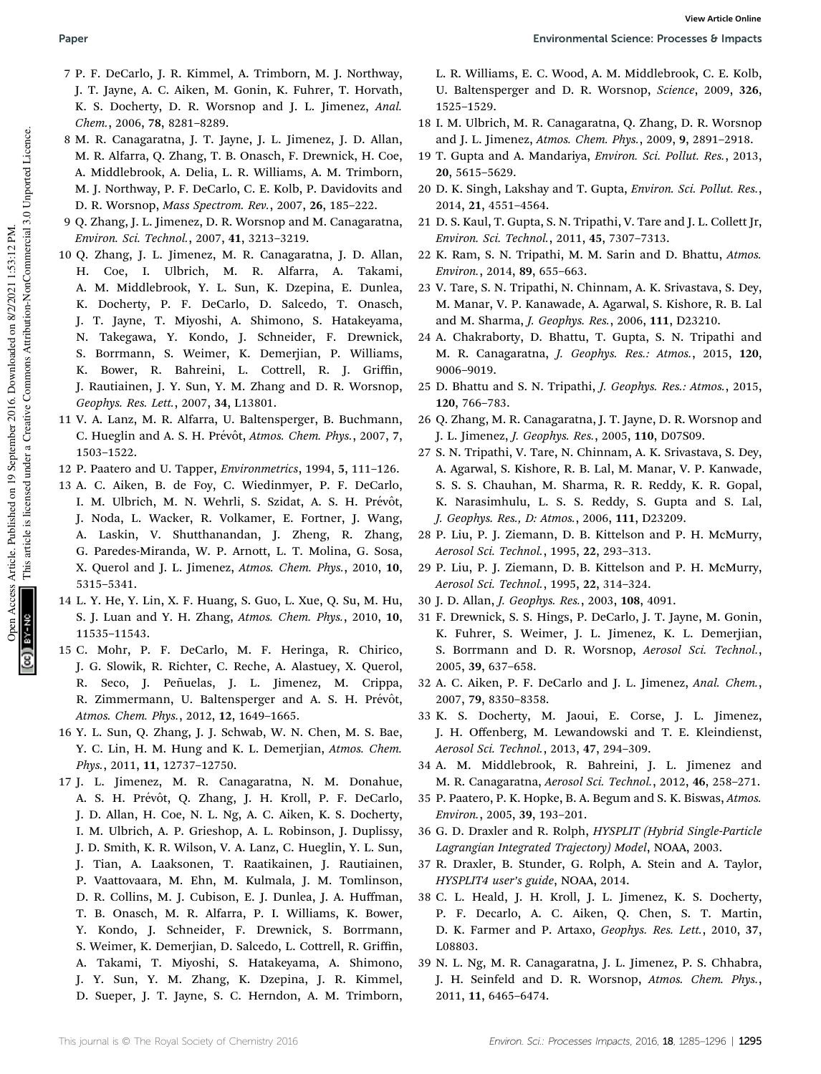- 7 P. F. DeCarlo, J. R. Kimmel, A. Trimborn, M. J. Northway, J. T. Jayne, A. C. Aiken, M. Gonin, K. Fuhrer, T. Horvath, K. S. Docherty, D. R. Worsnop and J. L. Jimenez, *Anal. Chem.*, 2006, 78, 8281–8289.
- 8 M. R. Canagaratna, J. T. Jayne, J. L. Jimenez, J. D. Allan, M. R. Alfarra, Q. Zhang, T. B. Onasch, F. Drewnick, H. Coe, A. Middlebrook, A. Delia, L. R. Williams, A. M. Trimborn, M. J. Northway, P. F. DeCarlo, C. E. Kolb, P. Davidovits and D. R. Worsnop, *Mass Spectrom. Rev.*, 2007, 26, 185–222.
- 9 Q. Zhang, J. L. Jimenez, D. R. Worsnop and M. Canagaratna, *Environ. Sci. Technol.*, 2007, 41, 3213–3219.
- 10 Q. Zhang, J. L. Jimenez, M. R. Canagaratna, J. D. Allan, H. Coe, I. Ulbrich, M. R. Alfarra, A. Takami, A. M. Middlebrook, Y. L. Sun, K. Dzepina, E. Dunlea, K. Docherty, P. F. DeCarlo, D. Salcedo, T. Onasch, J. T. Jayne, T. Miyoshi, A. Shimono, S. Hatakeyama, N. Takegawa, Y. Kondo, J. Schneider, F. Drewnick, S. Borrmann, S. Weimer, K. Demerjian, P. Williams, K. Bower, R. Bahreini, L. Cottrell, R. J. Griffin, J. Rautiainen, J. Y. Sun, Y. M. Zhang and D. R. Worsnop, *Geophys. Res. Lett.*, 2007, 34, L13801.
- 11 V. A. Lanz, M. R. Alfarra, U. Baltensperger, B. Buchmann, C. Hueglin and A. S. H. Prévôt, *Atmos. Chem. Phys.*, 2007, 7, 1503–1522.
- 12 P. Paatero and U. Tapper, *Environmetrics*, 1994, 5, 111–126.
- 13 A. C. Aiken, B. de Foy, C. Wiedinmyer, P. F. DeCarlo, I. M. Ulbrich, M. N. Wehrli, S. Szidat, A. S. H. Prévôt, J. Noda, L. Wacker, R. Volkamer, E. Fortner, J. Wang, A. Laskin, V. Shutthanandan, J. Zheng, R. Zhang, G. Paredes-Miranda, W. P. Arnott, L. T. Molina, G. Sosa, X. Querol and J. L. Jimenez, *Atmos. Chem. Phys.*, 2010, 10, 5315–5341.
- 14 L. Y. He, Y. Lin, X. F. Huang, S. Guo, L. Xue, Q. Su, M. Hu, S. J. Luan and Y. H. Zhang, *Atmos. Chem. Phys.*, 2010, 10, 11535–11543.
- 15 C. Mohr, P. F. DeCarlo, M. F. Heringa, R. Chirico, J. G. Slowik, R. Richter, C. Reche, A. Alastuey, X. Querol, R. Seco, J. Peñuelas, J. L. Jimenez, M. Crippa, R. Zimmermann, U. Baltensperger and A. S. H. Prévôt, *Atmos. Chem. Phys.*, 2012, 12, 1649–1665.
- 16 Y. L. Sun, Q. Zhang, J. J. Schwab, W. N. Chen, M. S. Bae, Y. C. Lin, H. M. Hung and K. L. Demerjian, *Atmos. Chem. Phys.*, 2011, 11, 12737–12750.
- 17 J. L. Jimenez, M. R. Canagaratna, N. M. Donahue, A. S. H. Prévôt, Q. Zhang, J. H. Kroll, P. F. DeCarlo, J. D. Allan, H. Coe, N. L. Ng, A. C. Aiken, K. S. Docherty, I. M. Ulbrich, A. P. Grieshop, A. L. Robinson, J. Duplissy, J. D. Smith, K. R. Wilson, V. A. Lanz, C. Hueglin, Y. L. Sun, J. Tian, A. Laaksonen, T. Raatikainen, J. Rautiainen, P. Vaattovaara, M. Ehn, M. Kulmala, J. M. Tomlinson, D. R. Collins, M. J. Cubison, E. J. Dunlea, J. A. Huffman, T. B. Onasch, M. R. Alfarra, P. I. Williams, K. Bower, Y. Kondo, J. Schneider, F. Drewnick, S. Borrmann, S. Weimer, K. Demerjian, D. Salcedo, L. Cottrell, R. Griffin, A. Takami, T. Miyoshi, S. Hatakeyama, A. Shimono, J. Y. Sun, Y. M. Zhang, K. Dzepina, J. R. Kimmel, D. Sueper, J. T. Jayne, S. C. Herndon, A. M. Trimborn,

L. R. Williams, E. C. Wood, A. M. Middlebrook, C. E. Kolb, U. Baltensperger and D. R. Worsnop, *Science*, 2009, 326, 1525–1529.

- 18 I. M. Ulbrich, M. R. Canagaratna, Q. Zhang, D. R. Worsnop and J. L. Jimenez, *Atmos. Chem. Phys.*, 2009, 9, 2891–2918.
- 19 T. Gupta and A. Mandariya, *Environ. Sci. Pollut. Res.*, 2013, 20, 5615–5629.
- 20 D. K. Singh, Lakshay and T. Gupta, *Environ. Sci. Pollut. Res.*, 2014, 21, 4551–4564.
- 21 D. S. Kaul, T. Gupta, S. N. Tripathi, V. Tare and J. L. Collett Jr, *Environ. Sci. Technol.*, 2011, 45, 7307–7313.
- 22 K. Ram, S. N. Tripathi, M. M. Sarin and D. Bhattu, *Atmos. Environ.*, 2014, 89, 655–663.
- 23 V. Tare, S. N. Tripathi, N. Chinnam, A. K. Srivastava, S. Dey, M. Manar, V. P. Kanawade, A. Agarwal, S. Kishore, R. B. Lal and M. Sharma, *J. Geophys. Res.*, 2006, 111, D23210.
- 24 A. Chakraborty, D. Bhattu, T. Gupta, S. N. Tripathi and M. R. Canagaratna, *J. Geophys. Res.: Atmos.*, 2015, 120, 9006–9019.
- 25 D. Bhattu and S. N. Tripathi, *J. Geophys. Res.: Atmos.*, 2015, 120, 766–783.
- 26 Q. Zhang, M. R. Canagaratna, J. T. Jayne, D. R. Worsnop and J. L. Jimenez, *J. Geophys. Res.*, 2005, 110, D07S09.
- 27 S. N. Tripathi, V. Tare, N. Chinnam, A. K. Srivastava, S. Dey, A. Agarwal, S. Kishore, R. B. Lal, M. Manar, V. P. Kanwade, S. S. S. Chauhan, M. Sharma, R. R. Reddy, K. R. Gopal, K. Narasimhulu, L. S. S. Reddy, S. Gupta and S. Lal, *J. Geophys. Res., D: Atmos.*, 2006, 111, D23209.
- 28 P. Liu, P. J. Ziemann, D. B. Kittelson and P. H. McMurry, *Aerosol Sci. Technol.*, 1995, 22, 293–313.
- 29 P. Liu, P. J. Ziemann, D. B. Kittelson and P. H. McMurry, *Aerosol Sci. Technol.*, 1995, 22, 314–324.
- 30 J. D. Allan, *J. Geophys. Res.*, 2003, 108, 4091.
- 31 F. Drewnick, S. S. Hings, P. DeCarlo, J. T. Jayne, M. Gonin, K. Fuhrer, S. Weimer, J. L. Jimenez, K. L. Demerjian, S. Borrmann and D. R. Worsnop, *Aerosol Sci. Technol.*, 2005, 39, 637–658.
- 32 A. C. Aiken, P. F. DeCarlo and J. L. Jimenez, *Anal. Chem.*, 2007, 79, 8350–8358.
- 33 K. S. Docherty, M. Jaoui, E. Corse, J. L. Jimenez, J. H. Offenberg, M. Lewandowski and T. E. Kleindienst, *Aerosol Sci. Technol.*, 2013, 47, 294–309.
- 34 A. M. Middlebrook, R. Bahreini, J. L. Jimenez and M. R. Canagaratna, *Aerosol Sci. Technol.*, 2012, 46, 258–271.
- 35 P. Paatero, P. K. Hopke, B. A. Begum and S. K. Biswas, *Atmos. Environ.*, 2005, 39, 193–201.
- 36 G. D. Draxler and R. Rolph, *HYSPLIT (Hybrid Single-Particle Lagrangian Integrated Trajectory) Model*, NOAA, 2003.
- 37 R. Draxler, B. Stunder, G. Rolph, A. Stein and A. Taylor, *HYSPLIT4 user*'*s guide*, NOAA, 2014.
- 38 C. L. Heald, J. H. Kroll, J. L. Jimenez, K. S. Docherty, P. F. Decarlo, A. C. Aiken, Q. Chen, S. T. Martin, D. K. Farmer and P. Artaxo, *Geophys. Res. Lett.*, 2010, 37, L08803.
- 39 N. L. Ng, M. R. Canagaratna, J. L. Jimenez, P. S. Chhabra, J. H. Seinfeld and D. R. Worsnop, *Atmos. Chem. Phys.*, 2011, 11, 6465–6474.